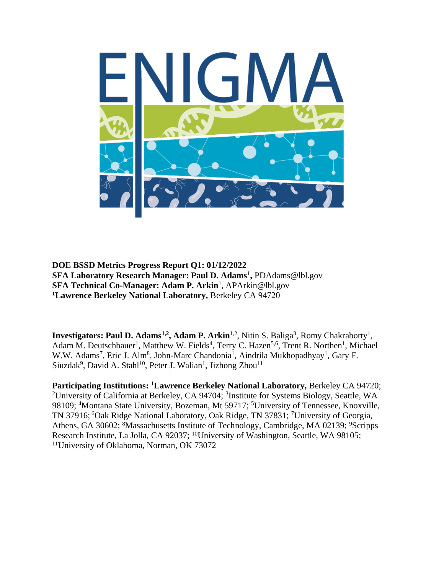

**DOE BSSD Metrics Progress Report Q1: 01/12/2022 SFA Laboratory Research Manager: Paul D. Adams<sup>1</sup> ,** PDAdams@lbl.gov **SFA Technical Co-Manager: Adam P. Arkin<sup>1</sup>, APArkin@lbl.gov <sup>1</sup>Lawrence Berkeley National Laboratory,** Berkeley CA 94720

**Investigators: Paul D. Adams<sup>1,2</sup>, Adam P. Arkin<sup>1,2</sup>, Nitin S. Baliga<sup>3</sup>, Romy Chakraborty<sup>1</sup>,** Adam M. Deutschbauer<sup>1</sup>, Matthew W. Fields<sup>4</sup>, Terry C. Hazen<sup>5,6</sup>, Trent R. Northen<sup>1</sup>, Michael W.W. Adams<sup>7</sup>, Eric J. Alm<sup>8</sup>, John-Marc Chandonia<sup>1</sup>, Aindrila Mukhopadhyay<sup>1</sup>, Gary E. Siuzdak<sup>9</sup>, David A. Stahl<sup>10</sup>, Peter J. Walian<sup>1</sup>, Jizhong Zhou<sup>11</sup>

**Participating Institutions: <sup>1</sup>Lawrence Berkeley National Laboratory,** Berkeley CA 94720; <sup>2</sup>University of California at Berkeley, CA 94704; <sup>3</sup>Institute for Systems Biology, Seattle, WA 98109; <sup>4</sup>Montana State University, Bozeman, Mt 59717; <sup>5</sup>University of Tennessee, Knoxville, TN 37916; <sup>6</sup>Oak Ridge National Laboratory, Oak Ridge, TN 37831; <sup>7</sup>University of Georgia, Athens, GA 30602; <sup>8</sup>Massachusetts Institute of Technology, Cambridge, MA 02139; <sup>9</sup>Scripps Research Institute, La Jolla, CA 92037; <sup>10</sup>University of Washington, Seattle, WA 98105; 11University of Oklahoma, Norman, OK 73072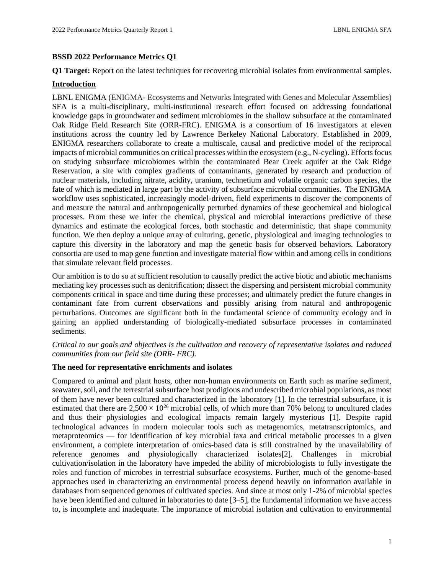# **BSSD 2022 Performance Metrics Q1**

**Q1 Target:** Report on the latest techniques for recovering microbial isolates from environmental samples.

# **Introduction**

LBNL ENIGMA (ENIGMA- Ecosystems and Networks Integrated with Genes and Molecular Assemblies) SFA is a multi-disciplinary, multi-institutional research effort focused on addressing foundational knowledge gaps in groundwater and sediment microbiomes in the shallow subsurface at the contaminated Oak Ridge Field Research Site (ORR-FRC). ENIGMA is a consortium of 16 investigators at eleven institutions across the country led by Lawrence Berkeley National Laboratory. Established in 2009, ENIGMA researchers collaborate to create a multiscale, causal and predictive model of the reciprocal impacts of microbial communities on critical processes within the ecosystem (e.g., N-cycling). Efforts focus on studying subsurface microbiomes within the contaminated Bear Creek aquifer at the Oak Ridge Reservation, a site with complex gradients of contaminants, generated by research and production of nuclear materials, including nitrate, acidity, uranium, technetium and volatile organic carbon species, the fate of which is mediated in large part by the activity of subsurface microbial communities. The ENIGMA workflow uses sophisticated, increasingly model-driven, field experiments to discover the components of and measure the natural and anthropogenically perturbed dynamics of these geochemical and biological processes. From these we infer the chemical, physical and microbial interactions predictive of these dynamics and estimate the ecological forces, both stochastic and deterministic, that shape community function. We then deploy a unique array of culturing, genetic, physiological and imaging technologies to capture this diversity in the laboratory and map the genetic basis for observed behaviors. Laboratory consortia are used to map gene function and investigate material flow within and among cells in conditions that simulate relevant field processes.

Our ambition is to do so at sufficient resolution to causally predict the active biotic and abiotic mechanisms mediating key processes such as denitrification; dissect the dispersing and persistent microbial community components critical in space and time during these processes; and ultimately predict the future changes in contaminant fate from current observations and possibly arising from natural and anthropogenic perturbations. Outcomes are significant both in the fundamental science of community ecology and in gaining an applied understanding of biologically-mediated subsurface processes in contaminated sediments.

*Critical to our goals and objectives is the cultivation and recovery of representative isolates and reduced communities from our field site (ORR- FRC).*

# **The need for representative enrichments and isolates**

Compared to animal and plant hosts, other non-human environments on Earth such as marine sediment, seawater, soil, and the terrestrial subsurface host prodigious and undescribed microbial populations, as most of them have never been cultured and characterized in the laboratory [1]. In the terrestrial subsurface, it is estimated that there are  $2,500 \times 10^{26}$  microbial cells, of which more than 70% belong to uncultured clades and thus their physiologies and ecological impacts remain largely mysterious [1]. Despite rapid technological advances in modern molecular tools such as metagenomics, metatranscriptomics, and metaproteomics — for identification of key microbial taxa and critical metabolic processes in a given environment, a complete interpretation of omics-based data is still constrained by the unavailability of reference genomes and physiologically characterized isolates[2]. Challenges in microbial cultivation/isolation in the laboratory have impeded the ability of microbiologists to fully investigate the roles and function of microbes in terrestrial subsurface ecosystems. Further, much of the genome-based approaches used in characterizing an environmental process depend heavily on information available in databases from sequenced genomes of cultivated species. And since at most only 1-2% of microbial species have been identified and cultured in laboratories to date [3–5], the fundamental information we have access to, is incomplete and inadequate. The importance of microbial isolation and cultivation to environmental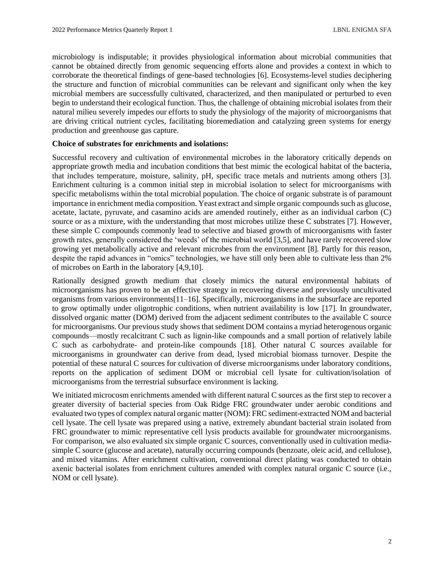microbiology is indisputable; it provides physiological information about microbial communities that cannot be obtained directly from genomic sequencing efforts alone and provides a context in which to corroborate the theoretical findings of gene-based technologies [6]. Ecosystems-level studies deciphering the structure and function of microbial communities can be relevant and significant only when the key microbial members are successfully cultivated, characterized, and then manipulated or perturbed to even begin to understand their ecological function. Thus, the challenge of obtaining microbial isolates from their natural milieu severely impedes our efforts to study the physiology of the majority of microorganisms that are driving critical nutrient cycles, facilitating bioremediation and catalyzing green systems for energy production and greenhouse gas capture.

# **Choice of substrates for enrichments and isolations:**

Successful recovery and cultivation of environmental microbes in the laboratory critically depends on appropriate growth media and incubation conditions that best mimic the ecological habitat of the bacteria, that includes temperature, moisture, salinity, pH, specific trace metals and nutrients among others [3]. Enrichment culturing is a common initial step in microbial isolation to select for microorganisms with specific metabolisms within the total microbial population. The choice of organic substrate is of paramount importance in enrichment media composition. Yeast extract and simple organic compounds such as glucose, acetate, lactate, pyruvate, and casamino acids are amended routinely, either as an individual carbon (C) source or as a mixture, with the understanding that most microbes utilize these C substrates [7]. However, these simple C compounds commonly lead to selective and biased growth of microorganisms with faster growth rates, generally considered the 'weeds' of the microbial world [3,5], and have rarely recovered slow growing yet metabolically active and relevant microbes from the environment [8]. Partly for this reason, despite the rapid advances in "omics" technologies, we have still only been able to cultivate less than 2% of microbes on Earth in the laboratory [4,9,10].

Rationally designed growth medium that closely mimics the natural environmental habitats of microorganisms has proven to be an effective strategy in recovering diverse and previously uncultivated organisms from various environments[11–16]. Specifically, microorganisms in the subsurface are reported to grow optimally under oligotrophic conditions, when nutrient availability is low [17]. In groundwater, dissolved organic matter (DOM) derived from the adjacent sediment contributes to the available C source for microorganisms. Our previous study shows that sediment DOM contains a myriad heterogenous organic compounds—mostly recalcitrant C such as lignin-like compounds and a small portion of relatively labile C such as carbohydrate- and protein-like compounds [18]. Other natural C sources available for microorganisms in groundwater can derive from dead, lysed microbial biomass turnover. Despite the potential of these natural C sources for cultivation of diverse microorganisms under laboratory conditions, reports on the application of sediment DOM or microbial cell lysate for cultivation/isolation of microorganisms from the terrestrial subsurface environment is lacking.

We initiated microcosm enrichments amended with different natural C sources as the first step to recover a greater diversity of bacterial species from Oak Ridge FRC groundwater under aerobic conditions and evaluated two types of complex natural organic matter (NOM): FRC sediment-extracted NOM and bacterial cell lysate. The cell lysate was prepared using a native, extremely abundant bacterial strain isolated from FRC groundwater to mimic representative cell lysis products available for groundwater microorganisms. For comparison, we also evaluated six simple organic C sources, conventionally used in cultivation mediasimple C source (glucose and acetate), naturally occurring compounds (benzoate, oleic acid, and cellulose), and mixed vitamins. After enrichment cultivation, conventional direct plating was conducted to obtain axenic bacterial isolates from enrichment cultures amended with complex natural organic C source (i.e., NOM or cell lysate).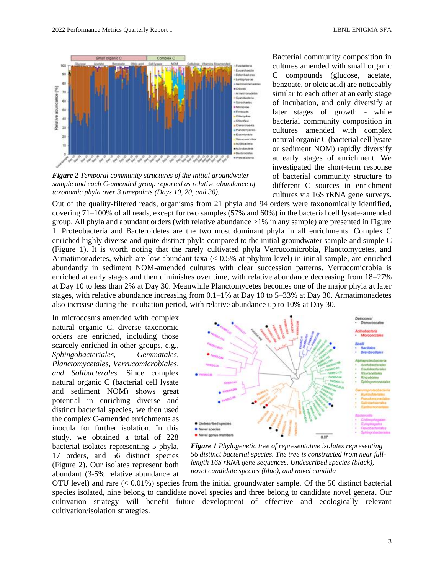

*Figure 2 Temporal community structures of the initial groundwater initial groundwater sample and each C-amended group reported as sample and each C-amended group reported as relative abundance of*  taxonomic phyla over 3 timepoints (Days 10, 20, and 30).

Bacterial community composition in cultures amended with small organic C compounds (glucose, acetate, benzoate, or oleic acid) are noticeably similar to each other at an early stage of incubation, and only diversify at later stages of growth - while bacterial community composition in cultures amended with complex natural organic C (bacterial cell lysate or sediment NOM) rapidly diversify at early stages of enrichment. We investigated the short-term response of bacterial community structure to different C sources in enrichment cultures via 16S rRNA gene surveys.

Out of the quality-filtered reads, organisms from 21 phyla and 94 orders were taxonomically identified, covering 71–100% of all reads, except for two samples (57% and 60%) in the bacterial cell lysate-amended group. All phyla and abundant orders (with relative abundance >1% in any sample) are presented in Figure 1. Proteobacteria and Bacteroidetes are the two most dominant phyla in all enrichments. Complex C enriched highly diverse and quite distinct phyla compared to the initial groundwater sample and simple C (Figure 1). It is worth noting that the rarely cultivated phyla Verrucomicrobia, Planctomycetes, and Armatimonadetes, which are low-abundant taxa (< 0.5% at phylum level) in initial sample, are enriched abundantly in sediment NOM-amended cultures with clear succession patterns. Verrucomicrobia is enriched at early stages and then diminishes over time, with relative abundance decreasing from 18–27% at Day 10 to less than 2% at Day 30. Meanwhile Planctomycetes becomes one of the major phyla at later stages, with relative abundance increasing from 0.1–1% at Day 10 to 5–33% at Day 30. Armatimonadetes also increase during the incubation period, with relative abundance up to 10% at Day 30.

In microcosms amended with complex natural organic C, diverse taxonomic orders are enriched, including those scarcely enriched in other groups, e.g., *Sphingobacteriales, Gemmatales, Planctomycetales, Verrucomicrobiales, and Solibacterales.* Since complex natural organic C (bacterial cell lysate and sediment NOM) shows great potential in enriching diverse and distinct bacterial species, we then used the complex C-amended enrichments as inocula for further isolation. In this study, we obtained a total of 228 bacterial isolates representing 5 phyla, 17 orders, and 56 distinct species (Figure 2). Our isolates represent both abundant (3-5% relative abundance at



*Figure 1 Phylogenetic tree of representative isolates representing 56 distinct bacterial species. The tree is constructed from near fulllength 16S rRNA gene sequences. Undescribed species (black), novel candidate species (blue), and novel candida*

OTU level) and rare (< 0.01%) species from the initial groundwater sample. Of the 56 distinct bacterial species isolated, nine belong to candidate novel species and three belong to candidate novel genera. Our cultivation strategy will benefit future development of effective and ecologically relevant cultivation/isolation strategies.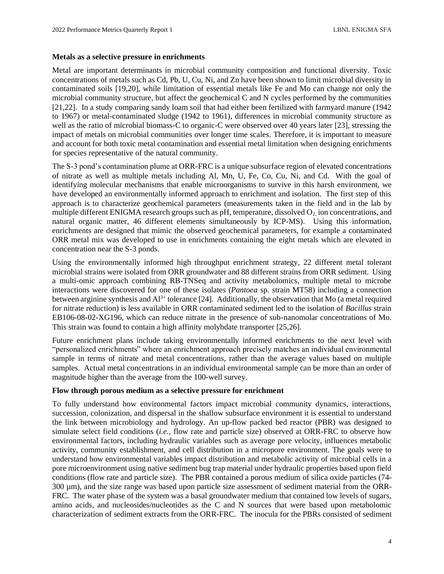# **Metals as a selective pressure in enrichments**

Metal are important determinants in microbial community composition and functional diversity. Toxic concentrations of metals such as Cd, Pb, U, Cu, Ni, and Zn have been shown to limit microbial diversity in contaminated soils [19,20], while limitation of essential metals like Fe and Mo can change not only the microbial community structure, but affect the geochemical C and N cycles performed by the communities [21,22]. In a study comparing sandy loam soil that had either been fertilized with farmyard manure (1942 to 1967) or metal-contaminated sludge (1942 to 1961), differences in microbial community structure as well as the ratio of microbial biomass-C to organic-C were observed over 40 years later [23], stressing the impact of metals on microbial communities over longer time scales. Therefore, it is important to measure and account for both toxic metal contamination and essential metal limitation when designing enrichments for species representative of the natural community.

The S-3 pond's contamination plume at ORR-FRC is a unique subsurface region of elevated concentrations of nitrate as well as multiple metals including Al, Mn, U, Fe, Co, Cu, Ni, and Cd. With the goal of identifying molecular mechanisms that enable microorganisms to survive in this harsh environment, we have developed an environmentally informed approach to enrichment and isolation. The first step of this approach is to characterize geochemical parameters (measurements taken in the field and in the lab by multiple different ENIGMA research groups such as pH, temperature, dissolved  $O<sub>2</sub>$  ion concentrations, and natural organic matter, 46 different elements simultaneously by ICP-MS). Using this information, enrichments are designed that mimic the observed geochemical parameters, for example a contaminated ORR metal mix was developed to use in enrichments containing the eight metals which are elevated in concentration near the S-3 ponds.

Using the environmentally informed high throughput enrichment strategy, 22 different metal tolerant microbial strains were isolated from ORR groundwater and 88 different strains from ORR sediment. Using a multi-omic approach combining RB-TNSeq and activity metabolomics, multiple metal to microbe interactions were discovered for one of these isolates (*Pantoea* sp. strain MT58) including a connection between arginine synthesis and  $Al^{3+}$  tolerance [24]. Additionally, the observation that Mo (a metal required for nitrate reduction) is less available in ORR contaminated sediment led to the isolation of *Bacillus* strain EB106-08-02-XG196, which can reduce nitrate in the presence of sub-nanomolar concentrations of Mo. This strain was found to contain a high affinity molybdate transporter [25,26].

Future enrichment plans include taking environmentally informed enrichments to the next level with "personalized enrichments" where an enrichment approach precisely matches an individual environmental sample in terms of nitrate and metal concentrations, rather than the average values based on multiple samples. Actual metal concentrations in an individual environmental sample can be more than an order of magnitude higher than the average from the 100-well survey.

## **Flow through porous medium as a selective pressure for enrichment**

To fully understand how environmental factors impact microbial community dynamics, interactions, succession, colonization, and dispersal in the shallow subsurface environment it is essential to understand the link between microbiology and hydrology. An up-flow packed bed reactor (PBR) was designed to simulate select field conditions (*i.e.*, flow rate and particle size) observed at ORR-FRC to observe how environmental factors, including hydraulic variables such as average pore velocity, influences metabolic activity, community establishment, and cell distribution in a micropore environment. The goals were to understand how environmental variables impact distribution and metabolic activity of microbial cells in a pore microenvironment using native sediment bug trap material under hydraulic properties based upon field conditions (flow rate and particle size). The PBR contained a porous medium of silica oxide particles (74- 300 µm), and the size range was based upon particle size assessment of sediment material from the ORR-FRC. The water phase of the system was a basal groundwater medium that contained low levels of sugars, amino acids, and nucleosides/nucleotides as the C and N sources that were based upon metabolomic characterization of sediment extracts from the ORR-FRC. The inocula for the PBRs consisted of sediment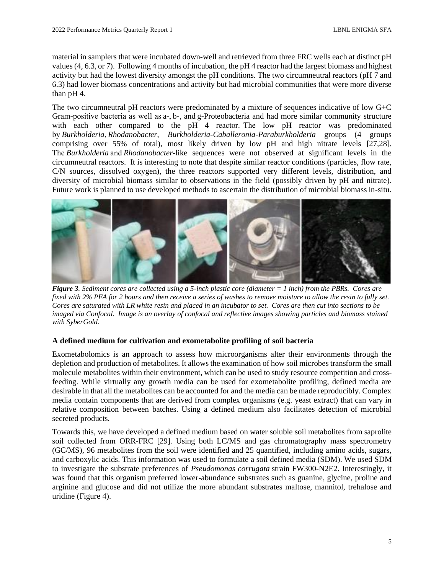material in samplers that were incubated down-well and retrieved from three FRC wells each at distinct pH values (4, 6.3, or 7). Following 4 months of incubation, the pH 4 reactor had the largest biomass and highest activity but had the lowest diversity amongst the pH conditions. The two circumneutral reactors (pH 7 and 6.3) had lower biomass concentrations and activity but had microbial communities that were more diverse than pH 4.

The two circumneutral pH reactors were predominated by a mixture of sequences indicative of low G+C Gram-positive bacteria as well as a-, b-, and g-Proteobacteria and had more similar community structure with each other compared to the pH 4 reactor. The low pH reactor was predominated by *Burkholderia*, *Rhodanobacter*, *Burkholderia-Caballeronia-Paraburkholderia* groups (4 groups comprising over 55% of total), most likely driven by low pH and high nitrate levels [27,28]. The *Burkholderia* and *Rhodanobacter*-like sequences were not observed at significant levels in the circumneutral reactors. It is interesting to note that despite similar reactor conditions (particles, flow rate, C/N sources, dissolved oxygen), the three reactors supported very different levels, distribution, and diversity of microbial biomass similar to observations in the field (possibly driven by pH and nitrate). Future work is planned to use developed methods to ascertain the distribution of microbial biomass in-situ.



*Figure 3. Sediment cores are collected using a 5-inch plastic core (diameter = 1 inch) from the PBRs. Cores are fixed with 2% PFA for 2 hours and then receive a series of washes to remove moisture to allow the resin to fully set. Cores are saturated with LR white resin and placed in an incubator to set. Cores are then cut into sections to be imaged via Confocal. Image is an overlay of confocal and reflective images showing particles and biomass stained with SyberGold.*

# **A defined medium for cultivation and exometabolite profiling of soil bacteria**

Exometabolomics is an approach to assess how microorganisms alter their environments through the depletion and production of metabolites. It allows the examination of how soil microbes transform the small molecule metabolites within their environment, which can be used to study resource competition and crossfeeding. While virtually any growth media can be used for exometabolite profiling, defined media are desirable in that all the metabolites can be accounted for and the media can be made reproducibly. Complex media contain components that are derived from complex organisms (e.g. yeast extract) that can vary in relative composition between batches. Using a defined medium also facilitates detection of microbial secreted products.

Towards this, we have developed a defined medium based on water soluble soil metabolites from saprolite soil collected from ORR-FRC [29]. Using both LC/MS and gas chromatography mass spectrometry (GC/MS), 96 metabolites from the soil were identified and 25 quantified, including amino acids, sugars, and carboxylic acids. This information was used to formulate a soil defined media (SDM). We used SDM to investigate the substrate preferences of *Pseudomonas corrugata* strain FW300-N2E2. Interestingly, it was found that this organism preferred lower-abundance substrates such as guanine, glycine, proline and arginine and glucose and did not utilize the more abundant substrates maltose, mannitol, trehalose and uridine (Figure 4).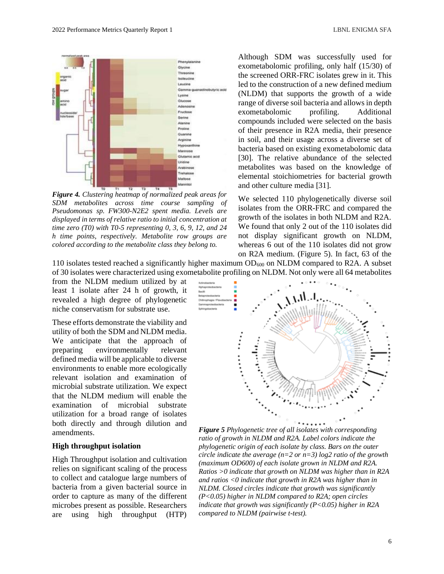

*Figure 4. Clustering heatmap of normalized peak areas for SDM metabolites across time course sampling of Pseudomonas sp. FW300-N2E2 spent media. Levels are displayed in terms of relative ratio to initial concentration at time zero (T0) with T0-5 representing 0, 3, 6, 9, 12, and 24 h time points, respectively. Metabolite row groups are colored according to the metabolite class they belong to.*

Although SDM was successfully used for exometabolomic profiling, only half (15/30) of the screened ORR-FRC isolates grew in it. This led to the construction of a new defined medium (NLDM) that supports the growth of a wide range of diverse soil bacteria and allows in depth exometabolomic profiling. Additional compounds included were selected on the basis of their presence in R2A media, their presence in soil, and their usage across a diverse set of bacteria based on existing exometabolomic data [30]. The relative abundance of the selected metabolites was based on the knowledge of elemental stoichiometries for bacterial growth and other culture media [31].

We selected 110 phylogenetically diverse soil isolates from the ORR-FRC and compared the growth of the isolates in both NLDM and R2A. We found that only 2 out of the 110 isolates did not display significant growth on NLDM, whereas 6 out of the 110 isolates did not grow on R2A medium. (Figure 5). In fact, 63 of the

110 isolates tested reached a significantly higher maximum  $OD_{600}$  on NLDM compared to R2A. A subset of 30 isolates were characterized using exometabolite profiling on NLDM. Not only were all 64 metabolites

from the NLDM medium utilized by at least 1 isolate after 24 h of growth, it revealed a high degree of phylogenetic niche conservatism for substrate use.

These efforts demonstrate the viability and utility of both the SDM and NLDM media. We anticipate that the approach of preparing environmentally relevant defined media will be applicable to diverse environments to enable more ecologically relevant isolation and examination of microbial substrate utilization. We expect that the NLDM medium will enable the examination of microbial substrate utilization for a broad range of isolates both directly and through dilution and amendments.

#### **High throughput isolation**

High Throughput isolation and cultivation relies on significant scaling of the process to collect and catalogue large numbers of bacteria from a given bacterial source in order to capture as many of the different microbes present as possible. Researchers are using high throughput (HTP)



*Figure 5 Phylogenetic tree of all isolates with corresponding ratio of growth in NLDM and R2A. Label colors indicate the phylogenetic origin of each isolate by class. Bars on the outer circle indicate the average (n=2 or n=3) log2 ratio of the growth (maximum OD600) of each isolate grown in NLDM and R2A. Ratios >0 indicate that growth on NLDM was higher than in R2A and ratios <0 indicate that growth in R2A was higher than in NLDM. Closed circles indicate that growth was significantly (P<0.05) higher in NLDM compared to R2A; open circles indicate that growth was significantly (P<0.05) higher in R2A compared to NLDM (pairwise t-test).*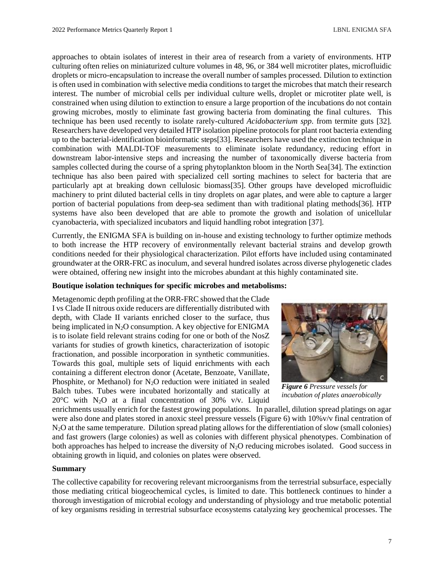approaches to obtain isolates of interest in their area of research from a variety of environments. HTP culturing often relies on miniaturized culture volumes in 48, 96, or 384 well microtiter plates, microfluidic droplets or micro-encapsulation to increase the overall number of samples processed. Dilution to extinction is often used in combination with selective media conditions to target the microbes that match their research interest. The number of microbial cells per individual culture wells, droplet or microtiter plate well, is constrained when using dilution to extinction to ensure a large proportion of the incubations do not contain growing microbes, mostly to eliminate fast growing bacteria from dominating the final cultures. This technique has been used recently to isolate rarely-cultured *Acidobacterium spp*. from termite guts [32]. Researchers have developed very detailed HTP isolation pipeline protocols for plant root bacteria extending up to the bacterial-identification bioinformatic steps[33]. Researchers have used the extinction technique in combination with MALDI-TOF measurements to eliminate isolate redundancy, reducing effort in downstream labor-intensive steps and increasing the number of taxonomically diverse bacteria from samples collected during the course of a spring phytoplankton bloom in the North Sea[34]. The extinction technique has also been paired with specialized cell sorting machines to select for bacteria that are particularly apt at breaking down cellulosic biomass[35]. Other groups have developed microfluidic machinery to print diluted bacterial cells in tiny droplets on agar plates, and were able to capture a larger portion of bacterial populations from deep-sea sediment than with traditional plating methods[36]. HTP systems have also been developed that are able to promote the growth and isolation of unicellular cyanobacteria, with specialized incubators and liquid handling robot integration [37].

Currently, the ENIGMA SFA is building on in-house and existing technology to further optimize methods to both increase the HTP recovery of environmentally relevant bacterial strains and develop growth conditions needed for their physiological characterization. Pilot efforts have included using contaminated groundwater at the ORR-FRC as inoculum, and several hundred isolates across diverse phylogenetic clades were obtained, offering new insight into the microbes abundant at this highly contaminated site.

# **Boutique isolation techniques for specific microbes and metabolisms:**

Metagenomic depth profiling at the ORR-FRC showed that the Clade I vs Clade II nitrous oxide reducers are differentially distributed with depth, with Clade II variants enriched closer to the surface, thus being implicated in N<sub>2</sub>O consumption. A key objective for ENIGMA is to isolate field relevant strains coding for one or both of the NosZ variants for studies of growth kinetics, characterization of isotopic fractionation, and possible incorporation in synthetic communities. Towards this goal, multiple sets of liquid enrichments with each containing a different electron donor (Acetate, Benzoate, Vanillate, Phosphite, or Methanol) for  $N_2O$  reduction were initiated in sealed Balch tubes. Tubes were incubated horizontally and statically at 20 $\degree$ C with N<sub>2</sub>O at a final concentration of 30% v/v. Liquid



*Figure 6 Pressure vessels for incubation of plates anaerobically*

enrichments usually enrich for the fastest growing populations. In parallel, dilution spread platings on agar were also done and plates stored in anoxic steel pressure vessels (Figure 6) with  $10\%$  v/v final centration of N2O at the same temperature. Dilution spread plating allows for the differentiation of slow (small colonies) and fast growers (large colonies) as well as colonies with different physical phenotypes. Combination of both approaches has helped to increase the diversity of N2O reducing microbes isolated. Good success in obtaining growth in liquid, and colonies on plates were observed.

## **Summary**

The collective capability for recovering relevant microorganisms from the terrestrial subsurface, especially those mediating critical biogeochemical cycles, is limited to date. This bottleneck continues to hinder a thorough investigation of microbial ecology and understanding of physiology and true metabolic potential of key organisms residing in terrestrial subsurface ecosystems catalyzing key geochemical processes. The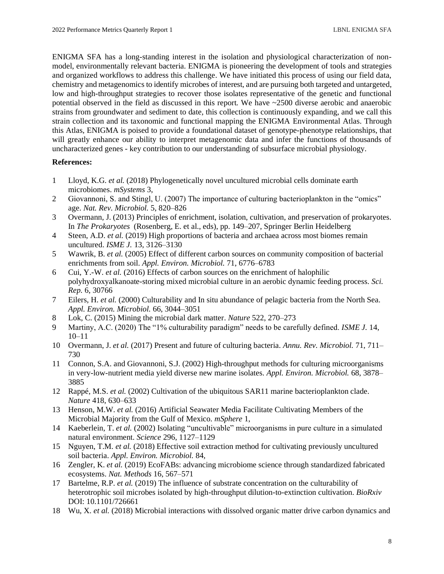ENIGMA SFA has a long-standing interest in the isolation and physiological characterization of nonmodel, environmentally relevant bacteria. ENIGMA is pioneering the development of tools and strategies and organized workflows to address this challenge. We have initiated this process of using our field data, chemistry and metagenomics to identify microbes of interest, and are pursuing both targeted and untargeted, low and high-throughput strategies to recover those isolates representative of the genetic and functional potential observed in the field as discussed in this report. We have ~2500 diverse aerobic and anaerobic strains from groundwater and sediment to date, this collection is continuously expanding, and we call this strain collection and its taxonomic and functional mapping the ENIGMA Environmental Atlas. Through this Atlas, ENIGMA is poised to provide a foundational dataset of genotype-phenotype relationships, that will greatly enhance our ability to interpret metagenomic data and infer the functions of thousands of uncharacterized genes - key contribution to our understanding of subsurface microbial physiology.

# **References:**

- 1 Lloyd, K.G. *et al.* (2018) Phylogenetically novel uncultured microbial cells dominate earth microbiomes. *mSystems* 3,
- 2 Giovannoni, S. and Stingl, U. (2007) The importance of culturing bacterioplankton in the "omics" age. *Nat. Rev. Microbiol.* 5, 820–826
- 3 Overmann, J. (2013) Principles of enrichment, isolation, cultivation, and preservation of prokaryotes. In *The Prokaryotes* (Rosenberg, E. et al., eds), pp. 149–207, Springer Berlin Heidelberg
- 4 Steen, A.D. *et al.* (2019) High proportions of bacteria and archaea across most biomes remain uncultured. *ISME J.* 13, 3126–3130
- 5 Wawrik, B. *et al.* (2005) Effect of different carbon sources on community composition of bacterial enrichments from soil. *Appl. Environ. Microbiol.* 71, 6776–6783
- 6 Cui, Y.-W. *et al.* (2016) Effects of carbon sources on the enrichment of halophilic polyhydroxyalkanoate-storing mixed microbial culture in an aerobic dynamic feeding process. *Sci. Rep.* 6, 30766
- 7 Eilers, H. *et al.* (2000) Culturability and In situ abundance of pelagic bacteria from the North Sea. *Appl. Environ. Microbiol.* 66, 3044–3051
- 8 Lok, C. (2015) Mining the microbial dark matter. *Nature* 522, 270–273
- 9 Martiny, A.C. (2020) The "1% culturability paradigm" needs to be carefully defined. *ISME J.* 14, 10–11
- 10 Overmann, J. *et al.* (2017) Present and future of culturing bacteria. *Annu. Rev. Microbiol.* 71, 711– 730
- 11 Connon, S.A. and Giovannoni, S.J. (2002) High-throughput methods for culturing microorganisms in very-low-nutrient media yield diverse new marine isolates. *Appl. Environ. Microbiol.* 68, 3878– 3885
- 12 Rappé, M.S. *et al.* (2002) Cultivation of the ubiquitous SAR11 marine bacterioplankton clade. *Nature* 418, 630–633
- 13 Henson, M.W. *et al.* (2016) Artificial Seawater Media Facilitate Cultivating Members of the Microbial Majority from the Gulf of Mexico. *mSphere* 1,
- 14 Kaeberlein, T. *et al.* (2002) Isolating "uncultivable" microorganisms in pure culture in a simulated natural environment. *Science* 296, 1127–1129
- 15 Nguyen, T.M. *et al.* (2018) Effective soil extraction method for cultivating previously uncultured soil bacteria. *Appl. Environ. Microbiol.* 84,
- 16 Zengler, K. *et al.* (2019) EcoFABs: advancing microbiome science through standardized fabricated ecosystems. *Nat. Methods* 16, 567–571
- 17 Bartelme, R.P. *et al.* (2019) The influence of substrate concentration on the culturability of heterotrophic soil microbes isolated by high-throughput dilution-to-extinction cultivation. *BioRxiv* DOI: 10.1101/726661
- 18 Wu, X. *et al.* (2018) Microbial interactions with dissolved organic matter drive carbon dynamics and